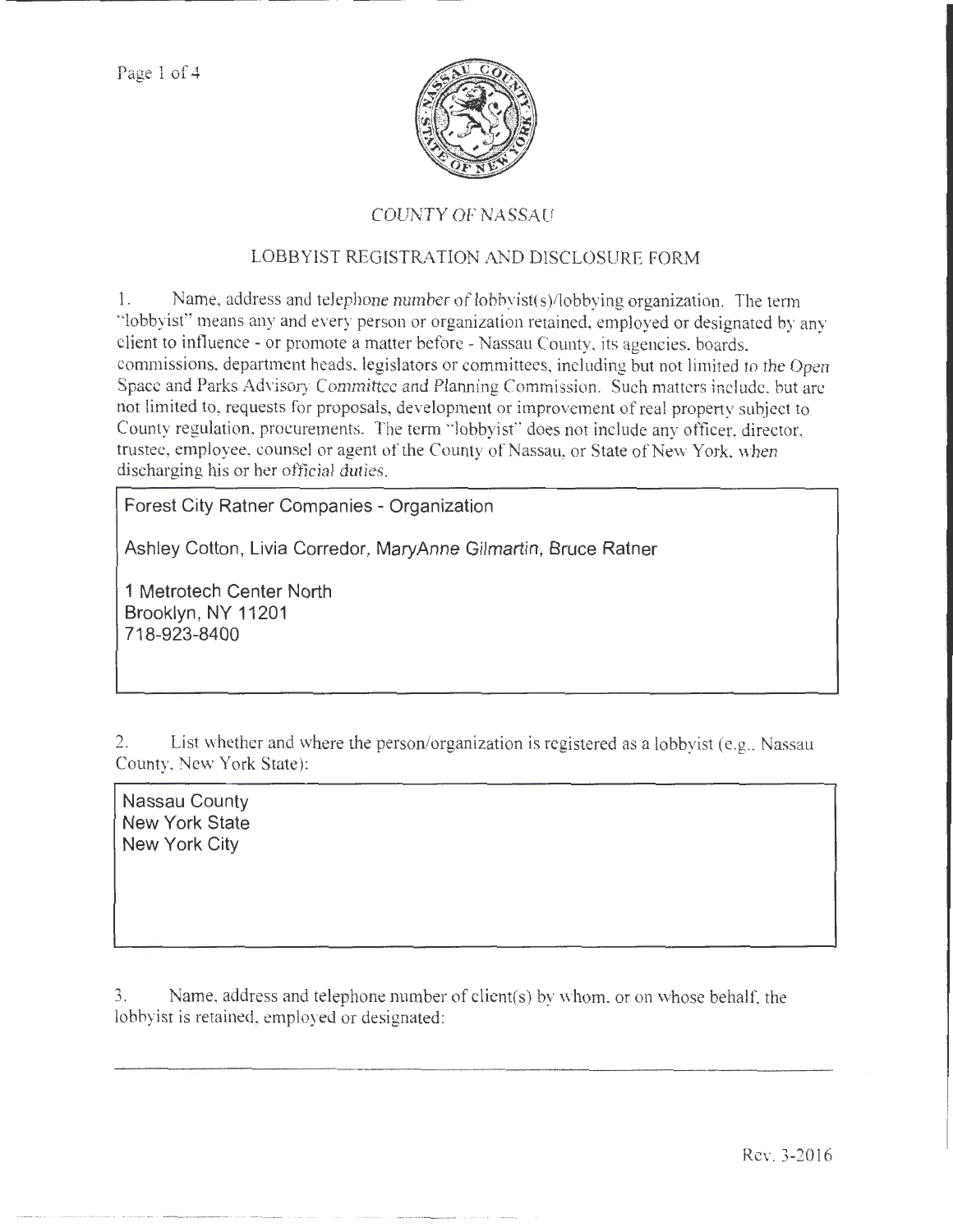

## COUNTY OF NASSAU

## LOBBYIST REGISTRATION AND DISCLOSURE FORM

1. Name, address and telephone number of lobbyist( s)/lobbying organization. The term ·'lobbyist" means any and every person or organization retained, employed or designated by any client to influence -or promote a matter before- Nassau County. its agencies. boards. commissions, department heads. legislators or committees, including but not limited to the Open Space and Parks Advisory Committee and Planning Commission. Such matters include, but are not limited to, requests for proposals, development or improvement of real property subject to County regulation, procurements. The term "lobbyist" does not include any officer, director, trustee, employee, counsel or agent of the County of Nassau, or State of New York, when discharging his or her official duties.

**Forest City Ratner Companies - Organization** 

**Ashley Cotton, Livia Corredor, MaryAnne Gilmartin, Bruce Ratner** 

**1 Metrotech Center North Brooklyn, NY 11201 718-923-8400** 

2. List whether and where the person/organization is registered as a lobbyist (e.g., Nassau County, New York State):

**Nassau County New York State New York City** 

3. Name, address and telephone number of client(s) by whom. or on whose behalf. the lobbyist is retained, employed or designated: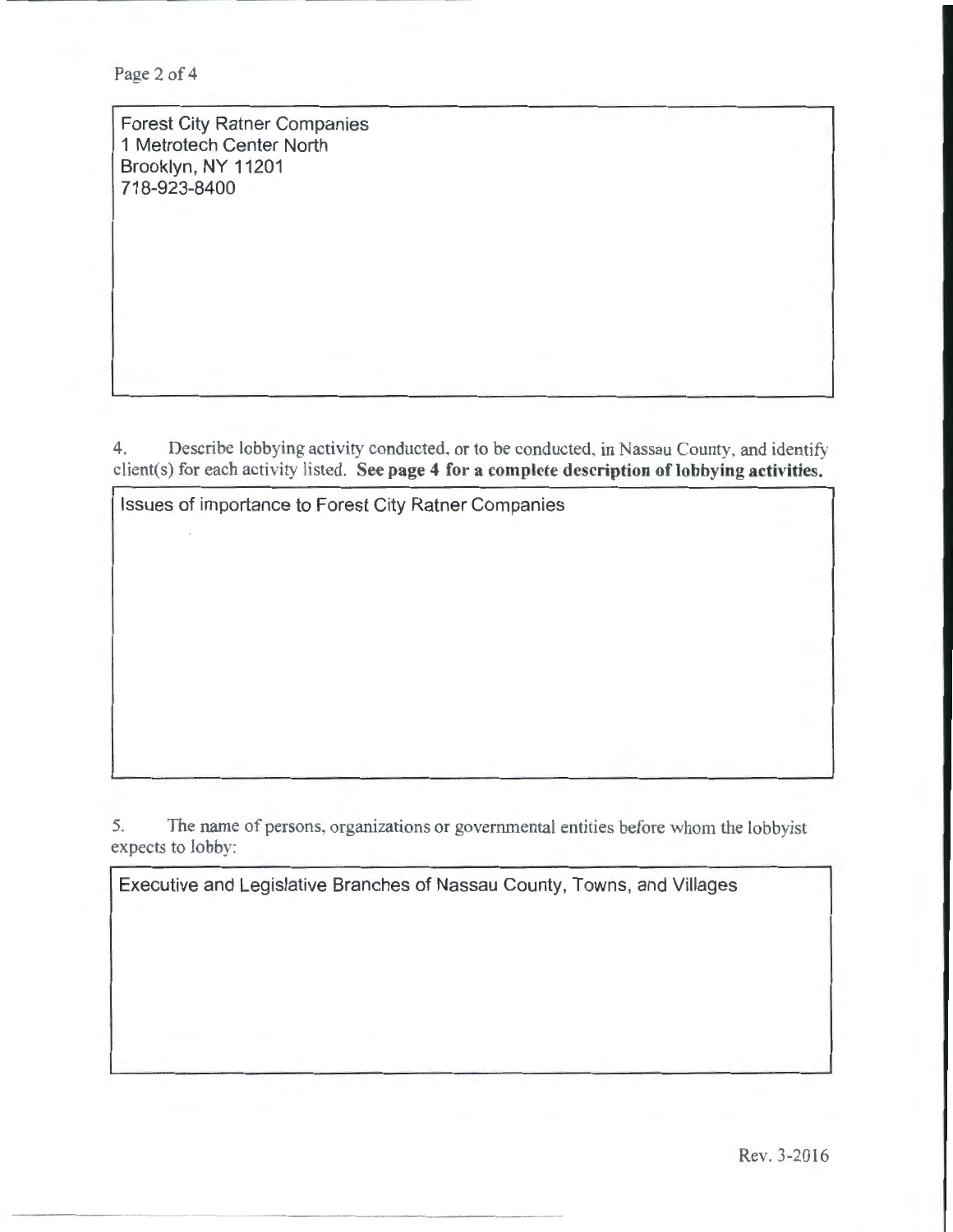Page 2 of 4

Forest City Ratner Companies 1 Metrotech Center North Brooklyn, NY 11201 718-923-8400

4. Describe lobbying activity conducted. or to be conducted, in Nassau County, and identify client(s) for each activity listed. See page 4 for a complete description of lobbying activities.

Issues of importance to Forest City Ratner Companies

- ------·--

5. The name of persons, organizations or governmental entities before whom the lobbyist expects to *lobby:* 

Executive and Legislative Branches of Nassau County, Towns, and Villages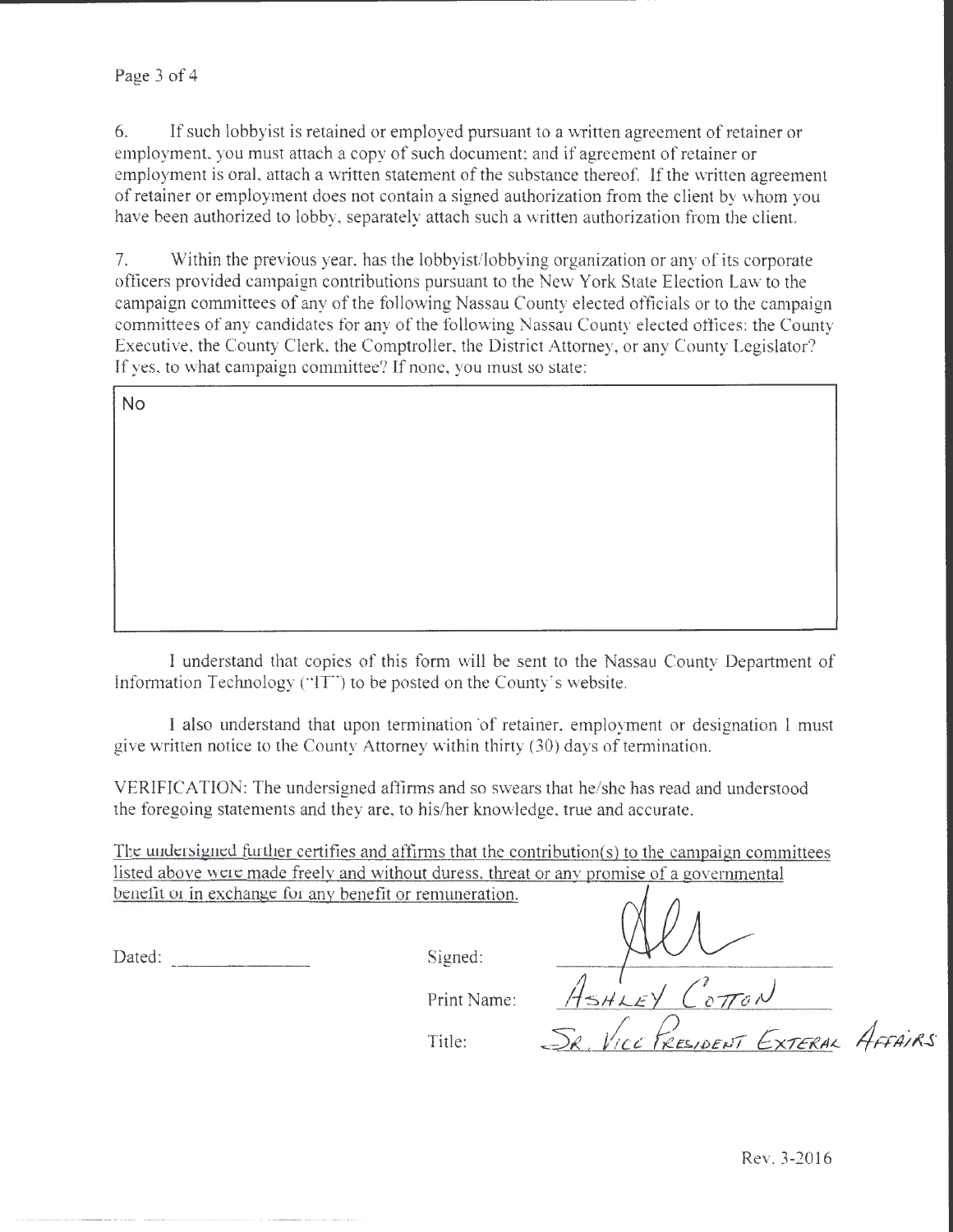6. If such lobbyist is retained or employed pursuant to a written agreement of retainer or employment, you must attach a copy of such document; and if agreement of retainer or employment is oral, attach a written statement of the substance thereof. If the written agreement of retainer or employment does not contain a signed authorization from the client by whom you have been authorized to lobby, separately attach such a written authorization from the client.

7. Within the previous year, has the lobbyist/lobbying organization or any of its corporate officers provided campaign contributions pursuant to the New York State Election Law to the campaign committees of any of the following Nassau County elected officials or to the campaign committees of any candidates tor any of the following Nassau County elected oflices: the County Executive, the County Clerk, the Comptroller, the District Attorney, or any County Legislator? lf yes, to what campaign committee? If none, you must so state:

| No |  |  |
|----|--|--|
|    |  |  |
|    |  |  |
|    |  |  |
|    |  |  |
|    |  |  |
|    |  |  |
|    |  |  |

I understand that copies of this form will be sent to the Nassau County Department of Information Technology ("IT") to be posted on the County's website.

I also understand that upon termination of retainer, employment or designation 1 must give written notice to the County Attorney within thirty (30) days of termination.

VERIFICATION: The undersigned affirms and so swears that he/she has read and understood the foregoing statements and they are, to his/her knowledge, true and accurate.

The undersigned further certifies and affirms that the contribution{s) to the campaign committees listed above were made freely and without duress. threat or any promise of a governmental benefit or in exchange for any benefit or remuneration.

Dated: Signed: Signed:

·---·-·--~-------·--- ---·-

Print Name:

Title:

 $\frac{1}{1}$ SHLEY COTTON PRESIDENT EXTERAL AFFAIRS